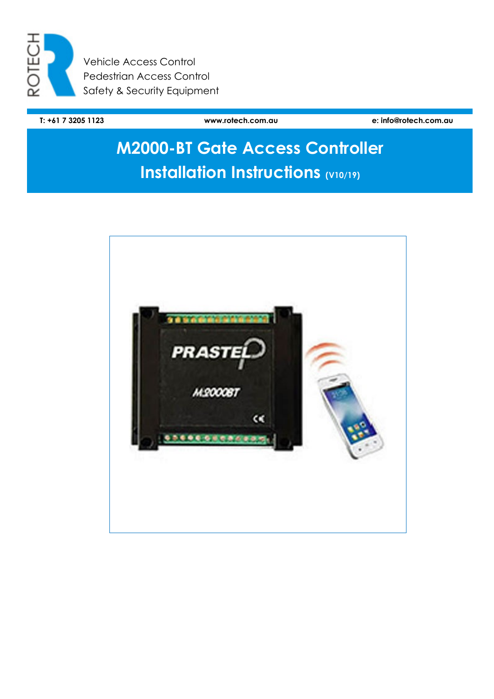

Vehicle Access Control Pedestrian Access Control Safety & Security Equipment

**T: +61 7 3205 1123 www.rotech.com.au e: info@rotech.com.au** 

# **M2000-BT Gate Access Controller Installation Instructions (V10/19)**

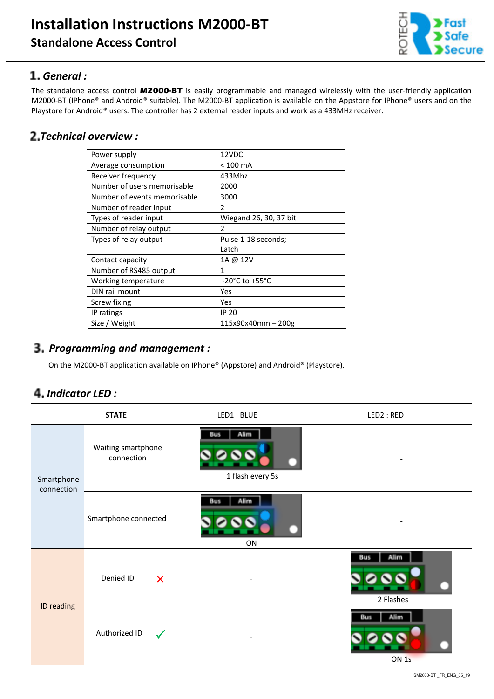

#### *General :*

The standalone access control **M2000-BT** is easily programmable and managed wirelessly with the user-friendly application M2000-BT (IPhone® and Android® suitable). The M2000-BT application is available on the Appstore for IPhone® users and on the Playstore for Android® users. The controller has 2 external reader inputs and work as a 433MHz receiver.

## *Technical overview :*

| Power supply                 | 12VDC                              |  |
|------------------------------|------------------------------------|--|
| Average consumption          | $< 100$ mA                         |  |
| Receiver frequency           | 433Mhz                             |  |
| Number of users memorisable  | 2000                               |  |
| Number of events memorisable | 3000                               |  |
| Number of reader input       | $\mathcal{P}$                      |  |
| Types of reader input        | Wiegand 26, 30, 37 bit             |  |
| Number of relay output       | $\overline{\phantom{a}}$           |  |
| Types of relay output        | Pulse 1-18 seconds;                |  |
|                              | Latch                              |  |
| Contact capacity             | 1A @ 12V                           |  |
| Number of RS485 output       | 1                                  |  |
| Working temperature          | $-20^{\circ}$ C to $+55^{\circ}$ C |  |
| DIN rail mount               | Yes                                |  |
| Screw fixing                 | Yes                                |  |
| IP ratings                   | <b>IP 20</b>                       |  |
| Size / Weight                | 115x90x40mm - 200g                 |  |

## *Programming and management :*

On the M2000-BT application available on IPhone® (Appstore) and Android® (Playstore).

#### *Indicator LED :*

|                          | <b>STATE</b>                           | LED1: BLUE                             | LED2: RED                              |
|--------------------------|----------------------------------------|----------------------------------------|----------------------------------------|
| Smartphone<br>connection | Waiting smartphone<br>connection       | Alim<br><b>Bus</b><br>1 flash every 5s |                                        |
|                          | Smartphone connected                   | Alim<br><b>Bus</b><br>ON               |                                        |
| ID reading               | Denied ID<br>$\boldsymbol{\mathsf{X}}$ |                                        | Bus<br>2 Flashes                       |
|                          | Authorized ID<br>$\checkmark$          |                                        | Alim<br><b>Bus</b><br>ON <sub>1s</sub> |

ISM2000-BT \_FR\_ENG\_05\_19